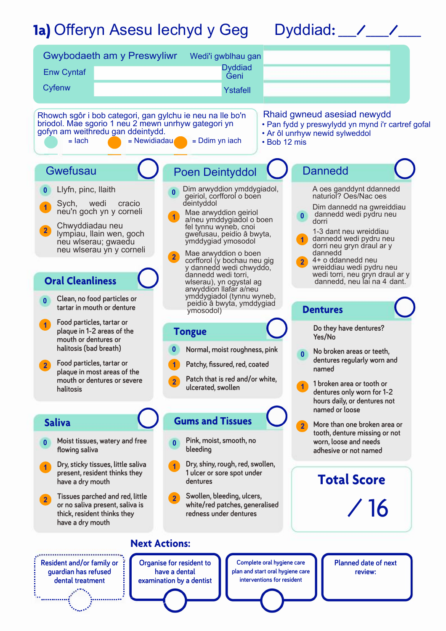## **1a)** Offeryn Asesu Iechyd y Geg Dyddiad**: \_\_\_\_/\_\_\_\_\_/\_\_\_\_\_**